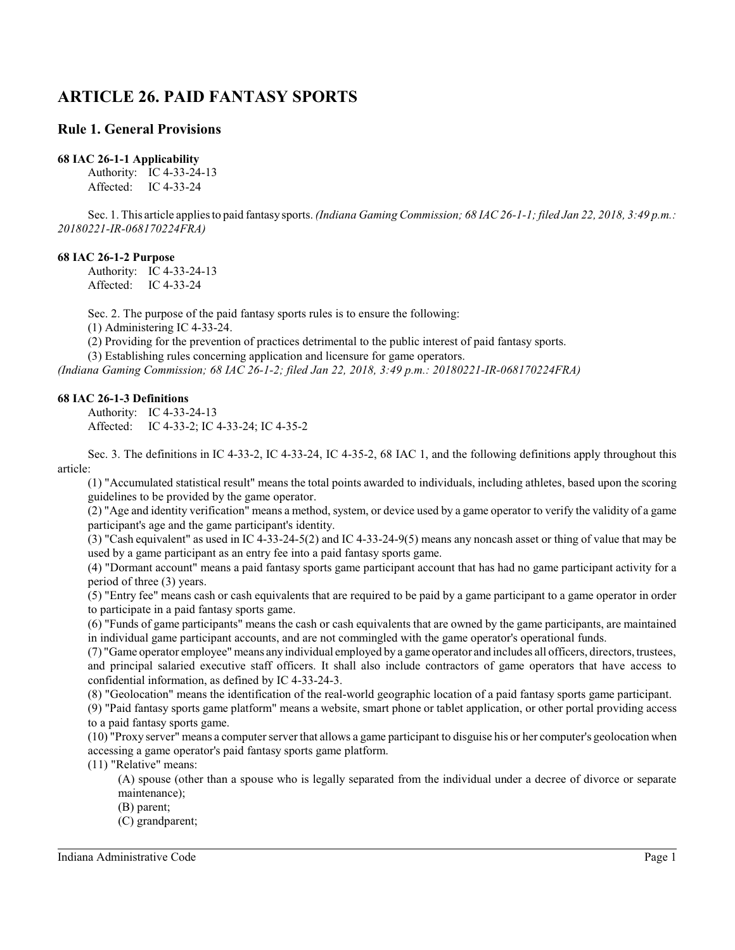# **ARTICLE 26. PAID FANTASY SPORTS**

### **Rule 1. General Provisions**

### **68 IAC 26-1-1 Applicability**

Authority: IC 4-33-24-13 Affected: IC 4-33-24

Sec. 1. This article applies to paid fantasy sports. *(Indiana Gaming Commission; 68 IAC 26-1-1; filed Jan 22, 2018, 3:49 p.m.: 20180221-IR-068170224FRA)*

### **68 IAC 26-1-2 Purpose**

Authority: IC 4-33-24-13 Affected: IC 4-33-24

Sec. 2. The purpose of the paid fantasy sports rules is to ensure the following:

(1) Administering IC 4-33-24.

(2) Providing for the prevention of practices detrimental to the public interest of paid fantasy sports.

(3) Establishing rules concerning application and licensure for game operators.

*(Indiana Gaming Commission; 68 IAC 26-1-2; filed Jan 22, 2018, 3:49 p.m.: 20180221-IR-068170224FRA)*

### **68 IAC 26-1-3 Definitions**

Authority: IC 4-33-24-13 Affected: IC 4-33-2; IC 4-33-24; IC 4-35-2

Sec. 3. The definitions in IC 4-33-2, IC 4-33-24, IC 4-35-2, 68 IAC 1, and the following definitions apply throughout this article:

(1) "Accumulated statistical result" means the total points awarded to individuals, including athletes, based upon the scoring guidelines to be provided by the game operator.

(2) "Age and identity verification" means a method, system, or device used by a game operator to verify the validity of a game participant's age and the game participant's identity.

(3) "Cash equivalent" as used in IC 4-33-24-5(2) and IC 4-33-24-9(5) means any noncash asset or thing of value that may be used by a game participant as an entry fee into a paid fantasy sports game.

(4) "Dormant account" means a paid fantasy sports game participant account that has had no game participant activity for a period of three (3) years.

(5) "Entry fee" means cash or cash equivalents that are required to be paid by a game participant to a game operator in order to participate in a paid fantasy sports game.

(6) "Funds of game participants" means the cash or cash equivalents that are owned by the game participants, are maintained in individual game participant accounts, and are not commingled with the game operator's operational funds.

(7) "Game operator employee" means any individual employed by a game operator and includes all officers, directors, trustees, and principal salaried executive staff officers. It shall also include contractors of game operators that have access to confidential information, as defined by IC 4-33-24-3.

(8) "Geolocation" means the identification of the real-world geographic location of a paid fantasy sports game participant.

(9) "Paid fantasy sports game platform" means a website, smart phone or tablet application, or other portal providing access to a paid fantasy sports game.

(10) "Proxy server" means a computer server that allows a game participant to disguise his or her computer's geolocation when accessing a game operator's paid fantasy sports game platform.

(11) "Relative" means:

(A) spouse (other than a spouse who is legally separated from the individual under a decree of divorce or separate maintenance);

- (B) parent;
- (C) grandparent;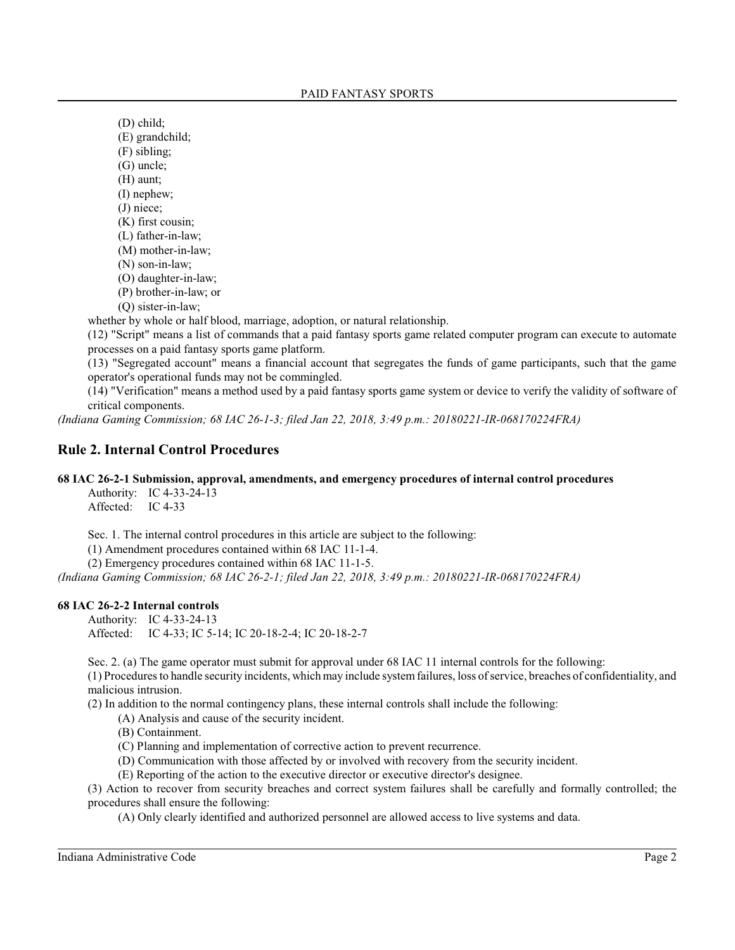(D) child; (E) grandchild; (F) sibling; (G) uncle; (H) aunt; (I) nephew; (J) niece; (K) first cousin; (L) father-in-law;

- (M) mother-in-law;
- (N) son-in-law;
- (O) daughter-in-law;
- (P) brother-in-law; or
- (Q) sister-in-law;

whether by whole or half blood, marriage, adoption, or natural relationship.

(12) "Script" means a list of commands that a paid fantasy sports game related computer program can execute to automate processes on a paid fantasy sports game platform.

(13) "Segregated account" means a financial account that segregates the funds of game participants, such that the game operator's operational funds may not be commingled.

(14) "Verification" means a method used by a paid fantasy sports game system or device to verify the validity of software of critical components.

*(Indiana Gaming Commission; 68 IAC 26-1-3; filed Jan 22, 2018, 3:49 p.m.: 20180221-IR-068170224FRA)*

### **Rule 2. Internal Control Procedures**

### **68 IAC 26-2-1 Submission, approval, amendments, and emergency procedures of internal control procedures**

Authority: IC 4-33-24-13 Affected: IC 4-33

Sec. 1. The internal control procedures in this article are subject to the following:

(1) Amendment procedures contained within 68 IAC 11-1-4.

(2) Emergency procedures contained within 68 IAC 11-1-5.

*(Indiana Gaming Commission; 68 IAC 26-2-1; filed Jan 22, 2018, 3:49 p.m.: 20180221-IR-068170224FRA)*

### **68 IAC 26-2-2 Internal controls**

Authority: IC 4-33-24-13 Affected: IC 4-33; IC 5-14; IC 20-18-2-4; IC 20-18-2-7

Sec. 2. (a) The game operator must submit for approval under 68 IAC 11 internal controls for the following:

(1) Procedures to handle security incidents, whichmay include systemfailures, loss of service, breaches of confidentiality, and malicious intrusion.

(2) In addition to the normal contingency plans, these internal controls shall include the following:

- (A) Analysis and cause of the security incident.
- (B) Containment.
- (C) Planning and implementation of corrective action to prevent recurrence.
- (D) Communication with those affected by or involved with recovery from the security incident.

(E) Reporting of the action to the executive director or executive director's designee.

(3) Action to recover from security breaches and correct system failures shall be carefully and formally controlled; the procedures shall ensure the following:

(A) Only clearly identified and authorized personnel are allowed access to live systems and data.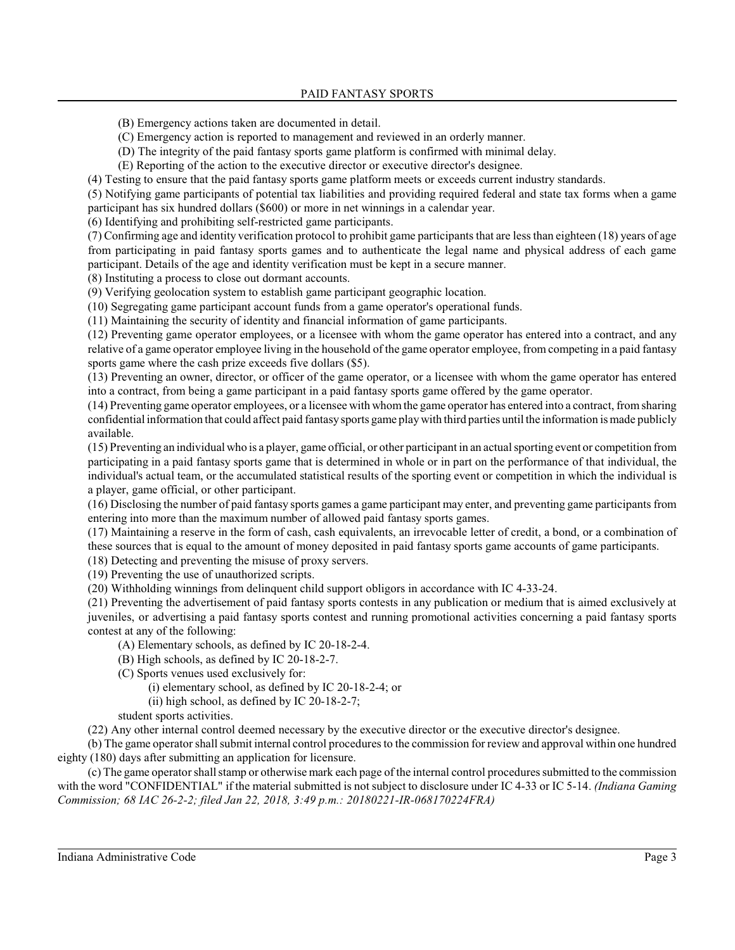- (B) Emergency actions taken are documented in detail.
- (C) Emergency action is reported to management and reviewed in an orderly manner.
- (D) The integrity of the paid fantasy sports game platform is confirmed with minimal delay.
- (E) Reporting of the action to the executive director or executive director's designee.

(4) Testing to ensure that the paid fantasy sports game platform meets or exceeds current industry standards.

(5) Notifying game participants of potential tax liabilities and providing required federal and state tax forms when a game participant has six hundred dollars (\$600) or more in net winnings in a calendar year.

(6) Identifying and prohibiting self-restricted game participants.

(7) Confirming age and identity verification protocol to prohibit game participants that are less than eighteen (18) years of age from participating in paid fantasy sports games and to authenticate the legal name and physical address of each game participant. Details of the age and identity verification must be kept in a secure manner.

(8) Instituting a process to close out dormant accounts.

(9) Verifying geolocation system to establish game participant geographic location.

(10) Segregating game participant account funds from a game operator's operational funds.

(11) Maintaining the security of identity and financial information of game participants.

(12) Preventing game operator employees, or a licensee with whom the game operator has entered into a contract, and any relative of a game operator employee living in the household of the game operator employee, from competing in a paid fantasy sports game where the cash prize exceeds five dollars (\$5).

(13) Preventing an owner, director, or officer of the game operator, or a licensee with whom the game operator has entered into a contract, from being a game participant in a paid fantasy sports game offered by the game operator.

(14) Preventing game operator employees, or a licensee with whomthe game operator has entered into a contract, fromsharing confidential information that could affect paid fantasy sports game play with third parties until the information is made publicly available.

(15) Preventing an individual who is a player, game official, or other participant in an actual sporting event or competition from participating in a paid fantasy sports game that is determined in whole or in part on the performance of that individual, the individual's actual team, or the accumulated statistical results of the sporting event or competition in which the individual is a player, game official, or other participant.

(16) Disclosing the number of paid fantasy sports games a game participant may enter, and preventing game participants from entering into more than the maximum number of allowed paid fantasy sports games.

(17) Maintaining a reserve in the form of cash, cash equivalents, an irrevocable letter of credit, a bond, or a combination of these sources that is equal to the amount of money deposited in paid fantasy sports game accounts of game participants.

(18) Detecting and preventing the misuse of proxy servers.

(19) Preventing the use of unauthorized scripts.

(20) Withholding winnings from delinquent child support obligors in accordance with IC 4-33-24.

(21) Preventing the advertisement of paid fantasy sports contests in any publication or medium that is aimed exclusively at juveniles, or advertising a paid fantasy sports contest and running promotional activities concerning a paid fantasy sports contest at any of the following:

- (A) Elementary schools, as defined by IC 20-18-2-4.
- (B) High schools, as defined by IC 20-18-2-7.
- (C) Sports venues used exclusively for:
	- (i) elementary school, as defined by IC 20-18-2-4; or
	- (ii) high school, as defined by IC 20-18-2-7;
- student sports activities.

(22) Any other internal control deemed necessary by the executive director or the executive director's designee.

(b) The game operator shall submit internal control procedures to the commission for review and approval within one hundred eighty (180) days after submitting an application for licensure.

(c) The game operator shall stamp or otherwise mark each page of the internal control procedures submitted to the commission with the word "CONFIDENTIAL" if the material submitted is not subject to disclosure under IC 4-33 or IC 5-14. *(Indiana Gaming Commission; 68 IAC 26-2-2; filed Jan 22, 2018, 3:49 p.m.: 20180221-IR-068170224FRA)*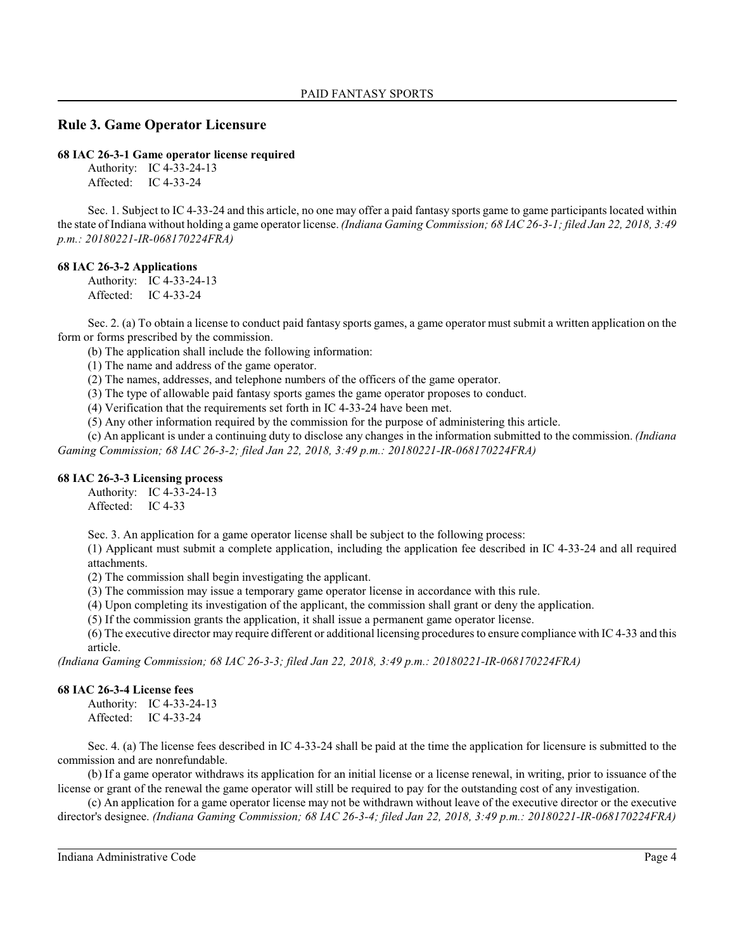## **Rule 3. Game Operator Licensure**

**68 IAC 26-3-1 Game operator license required**

Authority: IC 4-33-24-13 Affected: IC 4-33-24

Sec. 1. Subject to IC 4-33-24 and this article, no one may offer a paid fantasy sports game to game participants located within the state of Indiana without holding a game operator license. *(Indiana Gaming Commission; 68 IAC 26-3-1; filed Jan 22, 2018, 3:49 p.m.: 20180221-IR-068170224FRA)*

### **68 IAC 26-3-2 Applications**

Authority: IC 4-33-24-13 Affected: IC 4-33-24

Sec. 2. (a) To obtain a license to conduct paid fantasy sports games, a game operator mustsubmit a written application on the form or forms prescribed by the commission.

(b) The application shall include the following information:

(1) The name and address of the game operator.

(2) The names, addresses, and telephone numbers of the officers of the game operator.

(3) The type of allowable paid fantasy sports games the game operator proposes to conduct.

(4) Verification that the requirements set forth in IC 4-33-24 have been met.

(5) Any other information required by the commission for the purpose of administering this article.

(c) An applicant is under a continuing duty to disclose any changes in the information submitted to the commission. *(Indiana Gaming Commission; 68 IAC 26-3-2; filed Jan 22, 2018, 3:49 p.m.: 20180221-IR-068170224FRA)*

### **68 IAC 26-3-3 Licensing process**

Authority: IC 4-33-24-13 Affected: IC 4-33

Sec. 3. An application for a game operator license shall be subject to the following process:

(1) Applicant must submit a complete application, including the application fee described in IC 4-33-24 and all required attachments.

(2) The commission shall begin investigating the applicant.

(3) The commission may issue a temporary game operator license in accordance with this rule.

(4) Upon completing its investigation of the applicant, the commission shall grant or deny the application.

(5) If the commission grants the application, it shall issue a permanent game operator license.

(6) The executive director may require different or additional licensing procedures to ensure compliance with IC 4-33 and this article.

*(Indiana Gaming Commission; 68 IAC 26-3-3; filed Jan 22, 2018, 3:49 p.m.: 20180221-IR-068170224FRA)*

### **68 IAC 26-3-4 License fees**

Authority: IC 4-33-24-13 Affected: IC 4-33-24

Sec. 4. (a) The license fees described in IC 4-33-24 shall be paid at the time the application for licensure is submitted to the commission and are nonrefundable.

(b) If a game operator withdraws its application for an initial license or a license renewal, in writing, prior to issuance of the license or grant of the renewal the game operator will still be required to pay for the outstanding cost of any investigation.

(c) An application for a game operator license may not be withdrawn without leave of the executive director or the executive director's designee. *(Indiana Gaming Commission; 68 IAC 26-3-4; filed Jan 22, 2018, 3:49 p.m.: 20180221-IR-068170224FRA)*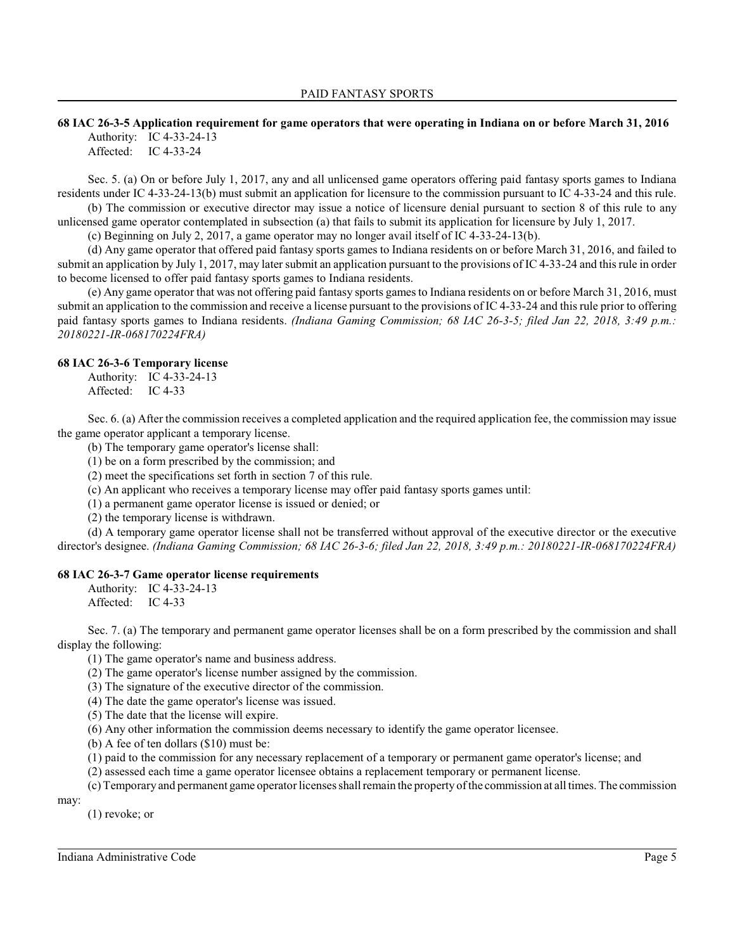### **68 IAC 26-3-5 Application requirement for game operators that were operating in Indiana on or before March 31, 2016** Authority: IC 4-33-24-13

Affected: IC 4-33-24

Sec. 5. (a) On or before July 1, 2017, any and all unlicensed game operators offering paid fantasy sports games to Indiana residents under IC 4-33-24-13(b) must submit an application for licensure to the commission pursuant to IC 4-33-24 and this rule.

(b) The commission or executive director may issue a notice of licensure denial pursuant to section 8 of this rule to any unlicensed game operator contemplated in subsection (a) that fails to submit its application for licensure by July 1, 2017.

(c) Beginning on July 2, 2017, a game operator may no longer avail itself of IC 4-33-24-13(b).

(d) Any game operator that offered paid fantasy sports games to Indiana residents on or before March 31, 2016, and failed to submit an application by July 1, 2017, may later submit an application pursuant to the provisions of IC 4-33-24 and thisrule in order to become licensed to offer paid fantasy sports games to Indiana residents.

(e) Any game operator that was not offering paid fantasy sports games to Indiana residents on or before March 31, 2016, must submit an application to the commission and receive a license pursuant to the provisions of IC 4-33-24 and thisrule prior to offering paid fantasy sports games to Indiana residents. *(Indiana Gaming Commission; 68 IAC 26-3-5; filed Jan 22, 2018, 3:49 p.m.: 20180221-IR-068170224FRA)*

### **68 IAC 26-3-6 Temporary license**

Authority: IC 4-33-24-13 Affected: IC 4-33

Sec. 6. (a) After the commission receives a completed application and the required application fee, the commission may issue the game operator applicant a temporary license.

(b) The temporary game operator's license shall:

(1) be on a form prescribed by the commission; and

(2) meet the specifications set forth in section 7 of this rule.

(c) An applicant who receives a temporary license may offer paid fantasy sports games until:

(1) a permanent game operator license is issued or denied; or

(2) the temporary license is withdrawn.

(d) A temporary game operator license shall not be transferred without approval of the executive director or the executive director's designee. *(Indiana Gaming Commission; 68 IAC 26-3-6; filed Jan 22, 2018, 3:49 p.m.: 20180221-IR-068170224FRA)*

### **68 IAC 26-3-7 Game operator license requirements**

Authority: IC 4-33-24-13

Affected: IC 4-33

Sec. 7. (a) The temporary and permanent game operator licenses shall be on a form prescribed by the commission and shall display the following:

(1) The game operator's name and business address.

(2) The game operator's license number assigned by the commission.

(3) The signature of the executive director of the commission.

(4) The date the game operator's license was issued.

(5) The date that the license will expire.

(6) Any other information the commission deems necessary to identify the game operator licensee.

(b) A fee of ten dollars (\$10) must be:

(1) paid to the commission for any necessary replacement of a temporary or permanent game operator's license; and

(2) assessed each time a game operator licensee obtains a replacement temporary or permanent license.

(c) Temporary and permanent game operator licenses shall remain the property of the commission at all times. The commission

may:

(1) revoke; or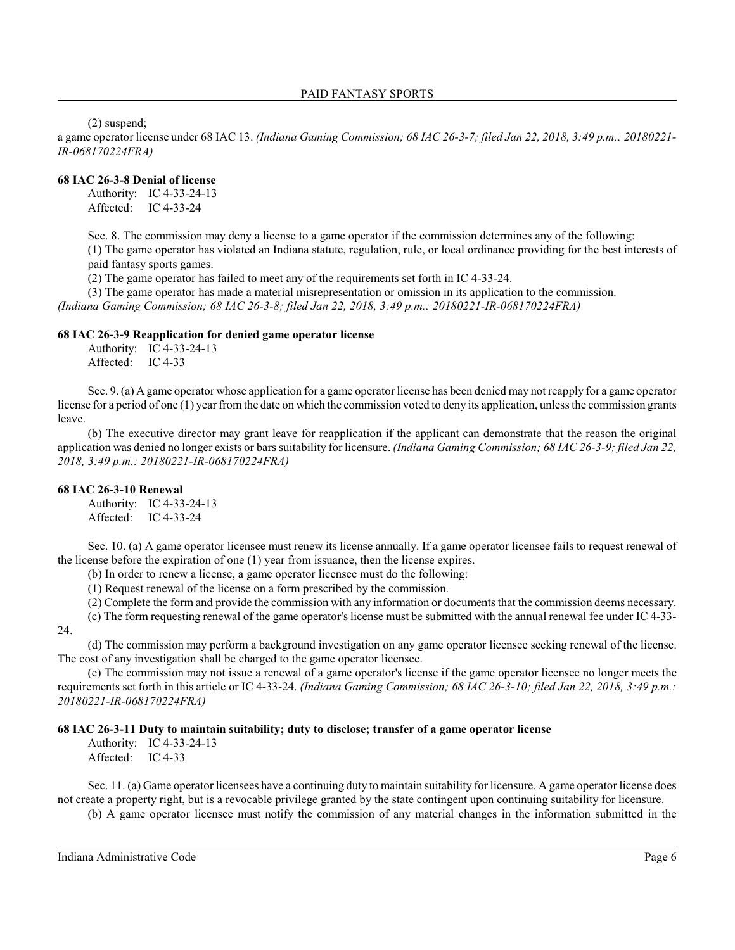(2) suspend;

a game operator license under 68 IAC 13. *(Indiana Gaming Commission; 68 IAC 26-3-7; filed Jan 22, 2018, 3:49 p.m.: 20180221- IR-068170224FRA)*

### **68 IAC 26-3-8 Denial of license**

Authority: IC 4-33-24-13 Affected: IC 4-33-24

Sec. 8. The commission may deny a license to a game operator if the commission determines any of the following: (1) The game operator has violated an Indiana statute, regulation, rule, or local ordinance providing for the best interests of paid fantasy sports games.

(2) The game operator has failed to meet any of the requirements set forth in IC 4-33-24.

(3) The game operator has made a material misrepresentation or omission in its application to the commission. *(Indiana Gaming Commission; 68 IAC 26-3-8; filed Jan 22, 2018, 3:49 p.m.: 20180221-IR-068170224FRA)*

### **68 IAC 26-3-9 Reapplication for denied game operator license**

Authority: IC 4-33-24-13 Affected: IC 4-33

Sec. 9. (a) A game operator whose application for a game operator license has been denied may not reapply for a game operator license for a period of one (1) year fromthe date on which the commission voted to deny its application, unless the commission grants leave.

(b) The executive director may grant leave for reapplication if the applicant can demonstrate that the reason the original application was denied no longer exists or bars suitability for licensure. *(Indiana Gaming Commission; 68 IAC 26-3-9; filed Jan 22, 2018, 3:49 p.m.: 20180221-IR-068170224FRA)*

### **68 IAC 26-3-10 Renewal**

Authority: IC 4-33-24-13 Affected: IC 4-33-24

Sec. 10. (a) A game operator licensee must renew its license annually. If a game operator licensee fails to request renewal of the license before the expiration of one (1) year from issuance, then the license expires.

(b) In order to renew a license, a game operator licensee must do the following:

(1) Request renewal of the license on a form prescribed by the commission.

(2) Complete the form and provide the commission with any information or documents that the commission deems necessary.

(c) The form requesting renewal of the game operator'slicense must be submitted with the annual renewal fee under IC 4-33- 24.

(d) The commission may perform a background investigation on any game operator licensee seeking renewal of the license. The cost of any investigation shall be charged to the game operator licensee.

(e) The commission may not issue a renewal of a game operator's license if the game operator licensee no longer meets the requirements set forth in this article or IC 4-33-24. *(Indiana Gaming Commission; 68 IAC 26-3-10; filed Jan 22, 2018, 3:49 p.m.: 20180221-IR-068170224FRA)*

### **68 IAC 26-3-11 Duty to maintain suitability; duty to disclose; transfer of a game operator license**

Authority: IC 4-33-24-13 Affected: IC 4-33

Sec. 11. (a) Game operator licensees have a continuing duty to maintain suitability for licensure. A game operator license does not create a property right, but is a revocable privilege granted by the state contingent upon continuing suitability for licensure.

(b) A game operator licensee must notify the commission of any material changes in the information submitted in the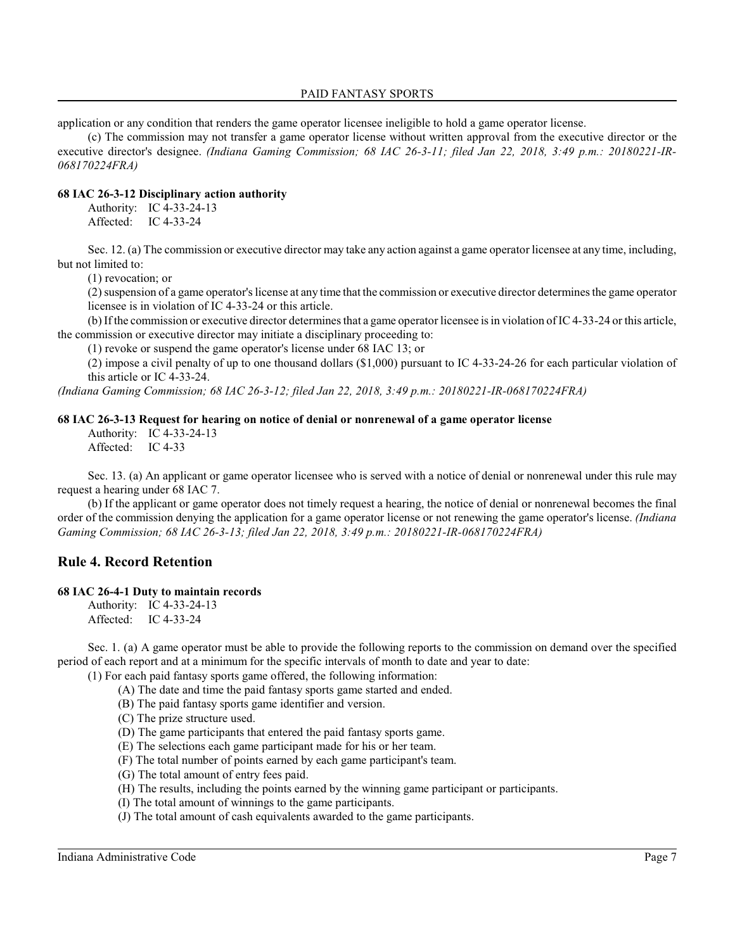### PAID FANTASY SPORTS

application or any condition that renders the game operator licensee ineligible to hold a game operator license.

(c) The commission may not transfer a game operator license without written approval from the executive director or the executive director's designee. *(Indiana Gaming Commission; 68 IAC 26-3-11; filed Jan 22, 2018, 3:49 p.m.: 20180221-IR-068170224FRA)*

### **68 IAC 26-3-12 Disciplinary action authority**

Authority: IC 4-33-24-13 Affected: IC 4-33-24

Sec. 12. (a) The commission or executive director may take any action against a game operator licensee at any time, including, but not limited to:

(1) revocation; or

(2) suspension of a game operator'slicense at any time that the commission or executive director determines the game operator licensee is in violation of IC 4-33-24 or this article.

(b) If the commission or executive director determines that a game operator licensee is in violation of IC 4-33-24 or this article, the commission or executive director may initiate a disciplinary proceeding to:

(1) revoke or suspend the game operator's license under 68 IAC 13; or

(2) impose a civil penalty of up to one thousand dollars (\$1,000) pursuant to IC 4-33-24-26 for each particular violation of this article or IC 4-33-24.

*(Indiana Gaming Commission; 68 IAC 26-3-12; filed Jan 22, 2018, 3:49 p.m.: 20180221-IR-068170224FRA)*

### **68 IAC 26-3-13 Request for hearing on notice of denial or nonrenewal of a game operator license**

Authority: IC 4-33-24-13 Affected: IC 4-33

Sec. 13. (a) An applicant or game operator licensee who is served with a notice of denial or nonrenewal under this rule may request a hearing under 68 IAC 7.

(b) If the applicant or game operator does not timely request a hearing, the notice of denial or nonrenewal becomes the final order of the commission denying the application for a game operator license or not renewing the game operator's license. *(Indiana Gaming Commission; 68 IAC 26-3-13; filed Jan 22, 2018, 3:49 p.m.: 20180221-IR-068170224FRA)*

# **Rule 4. Record Retention**

### **68 IAC 26-4-1 Duty to maintain records**

Authority: IC 4-33-24-13 Affected: IC 4-33-24

Sec. 1. (a) A game operator must be able to provide the following reports to the commission on demand over the specified period of each report and at a minimum for the specific intervals of month to date and year to date:

(1) For each paid fantasy sports game offered, the following information:

- (A) The date and time the paid fantasy sports game started and ended.
- (B) The paid fantasy sports game identifier and version.
- (C) The prize structure used.
- (D) The game participants that entered the paid fantasy sports game.
- (E) The selections each game participant made for his or her team.
- (F) The total number of points earned by each game participant's team.
- (G) The total amount of entry fees paid.
- (H) The results, including the points earned by the winning game participant or participants.
- (I) The total amount of winnings to the game participants.
- (J) The total amount of cash equivalents awarded to the game participants.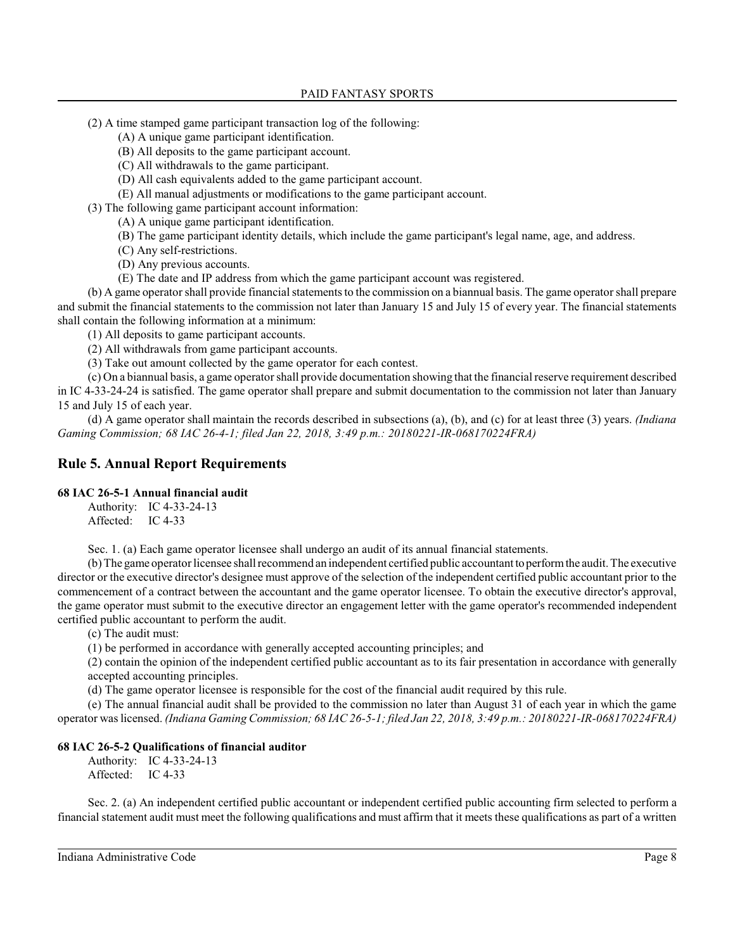- (2) A time stamped game participant transaction log of the following:
	- (A) A unique game participant identification.
	- (B) All deposits to the game participant account.
	- (C) All withdrawals to the game participant.
	- (D) All cash equivalents added to the game participant account.
	- (E) All manual adjustments or modifications to the game participant account.
- (3) The following game participant account information:
	- (A) A unique game participant identification.
	- (B) The game participant identity details, which include the game participant's legal name, age, and address.
	- (C) Any self-restrictions.
	- (D) Any previous accounts.
	- (E) The date and IP address from which the game participant account was registered.

(b) A game operator shall provide financial statements to the commission on a biannual basis. The game operator shall prepare and submit the financial statements to the commission not later than January 15 and July 15 of every year. The financial statements shall contain the following information at a minimum:

(1) All deposits to game participant accounts.

(2) All withdrawals from game participant accounts.

(3) Take out amount collected by the game operator for each contest.

(c) On a biannual basis, a game operator shall provide documentation showing that the financial reserve requirement described in IC 4-33-24-24 is satisfied. The game operator shall prepare and submit documentation to the commission not later than January 15 and July 15 of each year.

(d) A game operator shall maintain the records described in subsections (a), (b), and (c) for at least three (3) years. *(Indiana Gaming Commission; 68 IAC 26-4-1; filed Jan 22, 2018, 3:49 p.m.: 20180221-IR-068170224FRA)*

# **Rule 5. Annual Report Requirements**

### **68 IAC 26-5-1 Annual financial audit**

Authority: IC 4-33-24-13 Affected: IC 4-33

Sec. 1. (a) Each game operator licensee shall undergo an audit of its annual financial statements.

(b) The game operator licensee shall recommend an independent certified public accountant to performthe audit. The executive director or the executive director's designee must approve of the selection of the independent certified public accountant prior to the commencement of a contract between the accountant and the game operator licensee. To obtain the executive director's approval, the game operator must submit to the executive director an engagement letter with the game operator's recommended independent certified public accountant to perform the audit.

(c) The audit must:

(1) be performed in accordance with generally accepted accounting principles; and

(2) contain the opinion of the independent certified public accountant as to its fair presentation in accordance with generally accepted accounting principles.

(d) The game operator licensee is responsible for the cost of the financial audit required by this rule.

(e) The annual financial audit shall be provided to the commission no later than August 31 of each year in which the game operator was licensed. *(Indiana Gaming Commission; 68 IAC 26-5-1; filed Jan 22, 2018, 3:49 p.m.: 20180221-IR-068170224FRA)*

### **68 IAC 26-5-2 Qualifications of financial auditor**

Authority: IC 4-33-24-13 Affected: IC 4-33

Sec. 2. (a) An independent certified public accountant or independent certified public accounting firm selected to perform a financial statement audit must meet the following qualifications and must affirm that it meets these qualifications as part of a written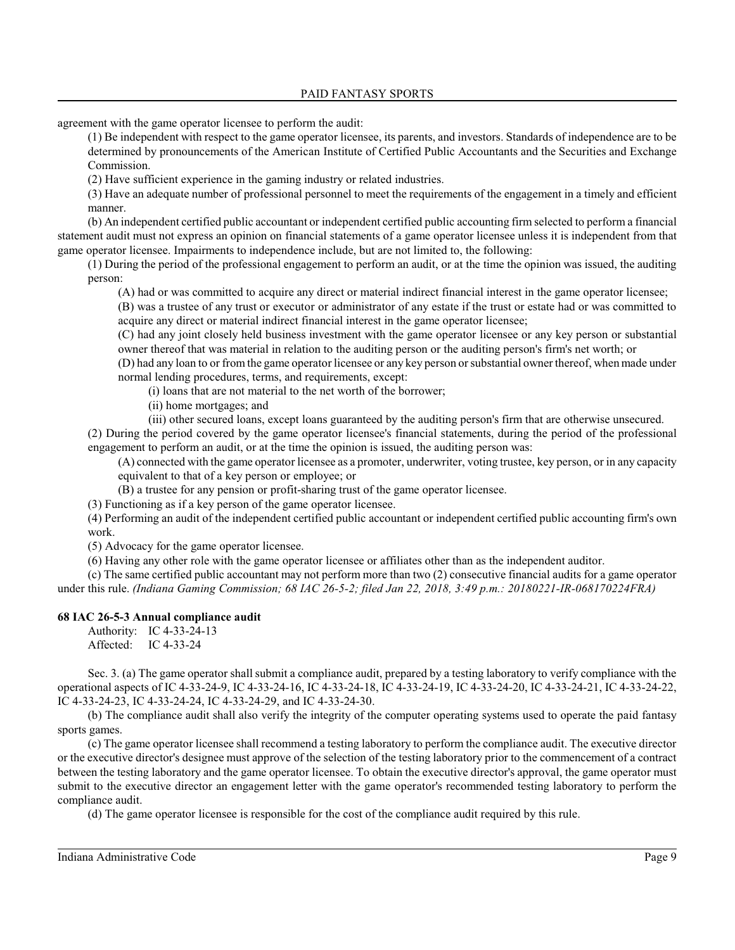agreement with the game operator licensee to perform the audit:

(1) Be independent with respect to the game operator licensee, its parents, and investors. Standards of independence are to be determined by pronouncements of the American Institute of Certified Public Accountants and the Securities and Exchange Commission.

(2) Have sufficient experience in the gaming industry or related industries.

(3) Have an adequate number of professional personnel to meet the requirements of the engagement in a timely and efficient manner.

(b) An independent certified public accountant or independent certified public accounting firm selected to perform a financial statement audit must not express an opinion on financial statements of a game operator licensee unless it is independent from that game operator licensee. Impairments to independence include, but are not limited to, the following:

(1) During the period of the professional engagement to perform an audit, or at the time the opinion was issued, the auditing person:

(A) had or was committed to acquire any direct or material indirect financial interest in the game operator licensee;

(B) was a trustee of any trust or executor or administrator of any estate if the trust or estate had or was committed to acquire any direct or material indirect financial interest in the game operator licensee;

(C) had any joint closely held business investment with the game operator licensee or any key person or substantial owner thereof that was material in relation to the auditing person or the auditing person's firm's net worth; or

(D) had any loan to or from the game operator licensee or any key person orsubstantial owner thereof, when made under normal lending procedures, terms, and requirements, except:

(i) loans that are not material to the net worth of the borrower;

(ii) home mortgages; and

(iii) other secured loans, except loans guaranteed by the auditing person's firm that are otherwise unsecured.

(2) During the period covered by the game operator licensee's financial statements, during the period of the professional engagement to perform an audit, or at the time the opinion is issued, the auditing person was:

(A) connected with the game operator licensee as a promoter, underwriter, voting trustee, key person, or in any capacity equivalent to that of a key person or employee; or

(B) a trustee for any pension or profit-sharing trust of the game operator licensee.

(3) Functioning as if a key person of the game operator licensee.

(4) Performing an audit of the independent certified public accountant or independent certified public accounting firm's own work.

(5) Advocacy for the game operator licensee.

(6) Having any other role with the game operator licensee or affiliates other than as the independent auditor.

(c) The same certified public accountant may not perform more than two (2) consecutive financial audits for a game operator under this rule. *(Indiana Gaming Commission; 68 IAC 26-5-2; filed Jan 22, 2018, 3:49 p.m.: 20180221-IR-068170224FRA)*

### **68 IAC 26-5-3 Annual compliance audit**

Authority: IC 4-33-24-13 Affected: IC 4-33-24

Sec. 3. (a) The game operator shall submit a compliance audit, prepared by a testing laboratory to verify compliance with the operational aspects of IC 4-33-24-9, IC 4-33-24-16, IC 4-33-24-18, IC 4-33-24-19, IC 4-33-24-20, IC 4-33-24-21, IC 4-33-24-22, IC 4-33-24-23, IC 4-33-24-24, IC 4-33-24-29, and IC 4-33-24-30.

(b) The compliance audit shall also verify the integrity of the computer operating systems used to operate the paid fantasy sports games.

(c) The game operator licensee shall recommend a testing laboratory to perform the compliance audit. The executive director or the executive director's designee must approve of the selection of the testing laboratory prior to the commencement of a contract between the testing laboratory and the game operator licensee. To obtain the executive director's approval, the game operator must submit to the executive director an engagement letter with the game operator's recommended testing laboratory to perform the compliance audit.

(d) The game operator licensee is responsible for the cost of the compliance audit required by this rule.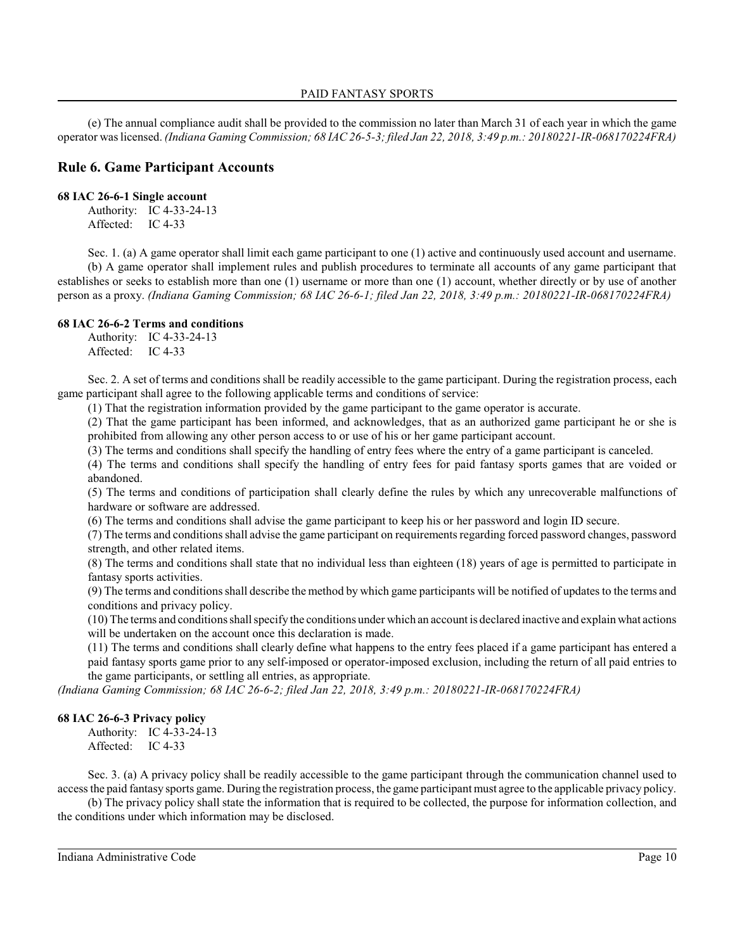(e) The annual compliance audit shall be provided to the commission no later than March 31 of each year in which the game operator was licensed. *(Indiana Gaming Commission; 68 IAC 26-5-3; filed Jan 22, 2018, 3:49 p.m.: 20180221-IR-068170224FRA)*

# **Rule 6. Game Participant Accounts**

### **68 IAC 26-6-1 Single account**

Authority: IC 4-33-24-13 Affected: IC 4-33

Sec. 1. (a) A game operator shall limit each game participant to one (1) active and continuously used account and username. (b) A game operator shall implement rules and publish procedures to terminate all accounts of any game participant that establishes or seeks to establish more than one (1) username or more than one (1) account, whether directly or by use of another person as a proxy. *(Indiana Gaming Commission; 68 IAC 26-6-1; filed Jan 22, 2018, 3:49 p.m.: 20180221-IR-068170224FRA)*

### **68 IAC 26-6-2 Terms and conditions**

Authority: IC 4-33-24-13 Affected: IC 4-33

Sec. 2. A set of terms and conditions shall be readily accessible to the game participant. During the registration process, each game participant shall agree to the following applicable terms and conditions of service:

(1) That the registration information provided by the game participant to the game operator is accurate.

(2) That the game participant has been informed, and acknowledges, that as an authorized game participant he or she is prohibited from allowing any other person access to or use of his or her game participant account.

(3) The terms and conditions shall specify the handling of entry fees where the entry of a game participant is canceled.

(4) The terms and conditions shall specify the handling of entry fees for paid fantasy sports games that are voided or abandoned.

(5) The terms and conditions of participation shall clearly define the rules by which any unrecoverable malfunctions of hardware or software are addressed.

(6) The terms and conditions shall advise the game participant to keep his or her password and login ID secure.

(7) The terms and conditions shall advise the game participant on requirements regarding forced password changes, password strength, and other related items.

(8) The terms and conditions shall state that no individual less than eighteen (18) years of age is permitted to participate in fantasy sports activities.

(9) The terms and conditions shall describe the method by which game participants will be notified of updates to the terms and conditions and privacy policy.

(10) The terms and conditions shall specify the conditions under which an account is declared inactive and explain what actions will be undertaken on the account once this declaration is made.

(11) The terms and conditions shall clearly define what happens to the entry fees placed if a game participant has entered a paid fantasy sports game prior to any self-imposed or operator-imposed exclusion, including the return of all paid entries to the game participants, or settling all entries, as appropriate.

*(Indiana Gaming Commission; 68 IAC 26-6-2; filed Jan 22, 2018, 3:49 p.m.: 20180221-IR-068170224FRA)*

### **68 IAC 26-6-3 Privacy policy**

Authority: IC 4-33-24-13 Affected: IC 4-33

Sec. 3. (a) A privacy policy shall be readily accessible to the game participant through the communication channel used to access the paid fantasy sports game. During the registration process, the game participant must agree to the applicable privacy policy.

(b) The privacy policy shall state the information that is required to be collected, the purpose for information collection, and the conditions under which information may be disclosed.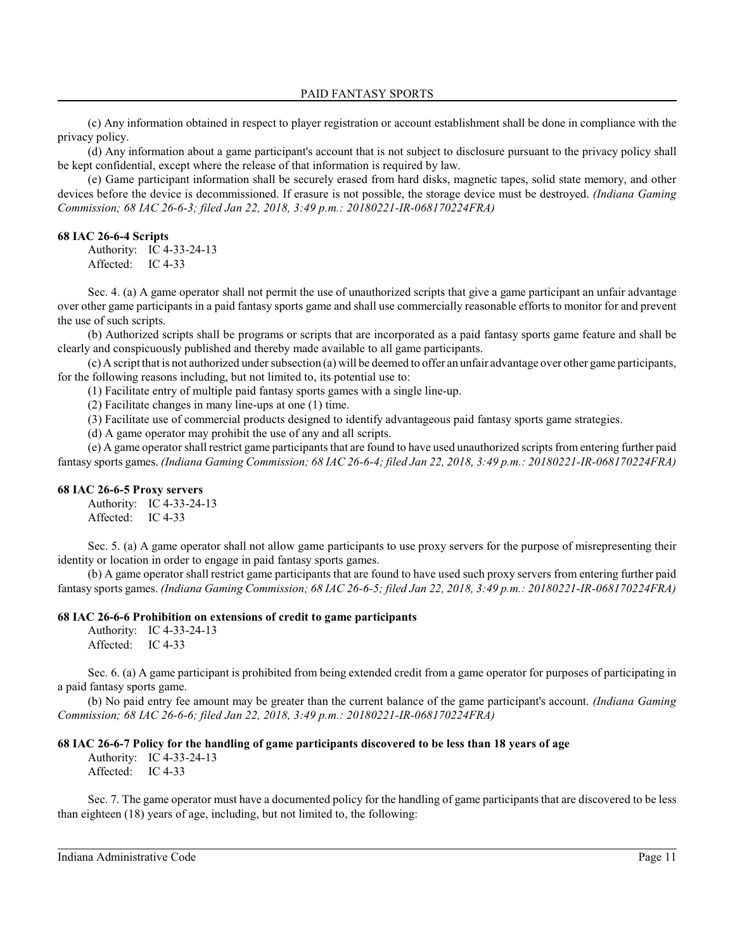(c) Any information obtained in respect to player registration or account establishment shall be done in compliance with the privacy policy.

(d) Any information about a game participant's account that is not subject to disclosure pursuant to the privacy policy shall be kept confidential, except where the release of that information is required by law.

(e) Game participant information shall be securely erased from hard disks, magnetic tapes, solid state memory, and other devices before the device is decommissioned. If erasure is not possible, the storage device must be destroyed. *(Indiana Gaming Commission; 68 IAC 26-6-3; filed Jan 22, 2018, 3:49 p.m.: 20180221-IR-068170224FRA)*

#### **68 IAC 26-6-4 Scripts**

Authority: IC 4-33-24-13 Affected: IC 4-33

Sec. 4. (a) A game operator shall not permit the use of unauthorized scripts that give a game participant an unfair advantage over other game participants in a paid fantasy sports game and shall use commercially reasonable efforts to monitor for and prevent the use of such scripts.

(b) Authorized scripts shall be programs or scripts that are incorporated as a paid fantasy sports game feature and shall be clearly and conspicuously published and thereby made available to all game participants.

(c) A script that is not authorized under subsection (a) will be deemed to offer an unfair advantage over other game participants, for the following reasons including, but not limited to, its potential use to:

(1) Facilitate entry of multiple paid fantasy sports games with a single line-up.

(2) Facilitate changes in many line-ups at one (1) time.

(3) Facilitate use of commercial products designed to identify advantageous paid fantasy sports game strategies.

(d) A game operator may prohibit the use of any and all scripts.

(e) A game operator shall restrict game participants that are found to have used unauthorized scripts from entering further paid fantasy sports games. *(Indiana Gaming Commission; 68 IAC 26-6-4; filed Jan 22, 2018, 3:49 p.m.: 20180221-IR-068170224FRA)*

### **68 IAC 26-6-5 Proxy servers**

Authority: IC 4-33-24-13 Affected: IC 4-33

Sec. 5. (a) A game operator shall not allow game participants to use proxy servers for the purpose of misrepresenting their identity or location in order to engage in paid fantasy sports games.

(b) A game operator shall restrict game participants that are found to have used such proxy servers from entering further paid fantasy sports games. *(Indiana Gaming Commission; 68 IAC 26-6-5; filed Jan 22, 2018, 3:49 p.m.: 20180221-IR-068170224FRA)*

### **68 IAC 26-6-6 Prohibition on extensions of credit to game participants**

Authority: IC 4-33-24-13 Affected: IC 4-33

Sec. 6. (a) A game participant is prohibited from being extended credit from a game operator for purposes of participating in a paid fantasy sports game.

(b) No paid entry fee amount may be greater than the current balance of the game participant's account. *(Indiana Gaming Commission; 68 IAC 26-6-6; filed Jan 22, 2018, 3:49 p.m.: 20180221-IR-068170224FRA)*

### **68 IAC 26-6-7 Policy for the handling of game participants discovered to be less than 18 years of age**

Authority: IC 4-33-24-13 Affected: IC 4-33

Sec. 7. The game operator must have a documented policy for the handling of game participants that are discovered to be less than eighteen (18) years of age, including, but not limited to, the following: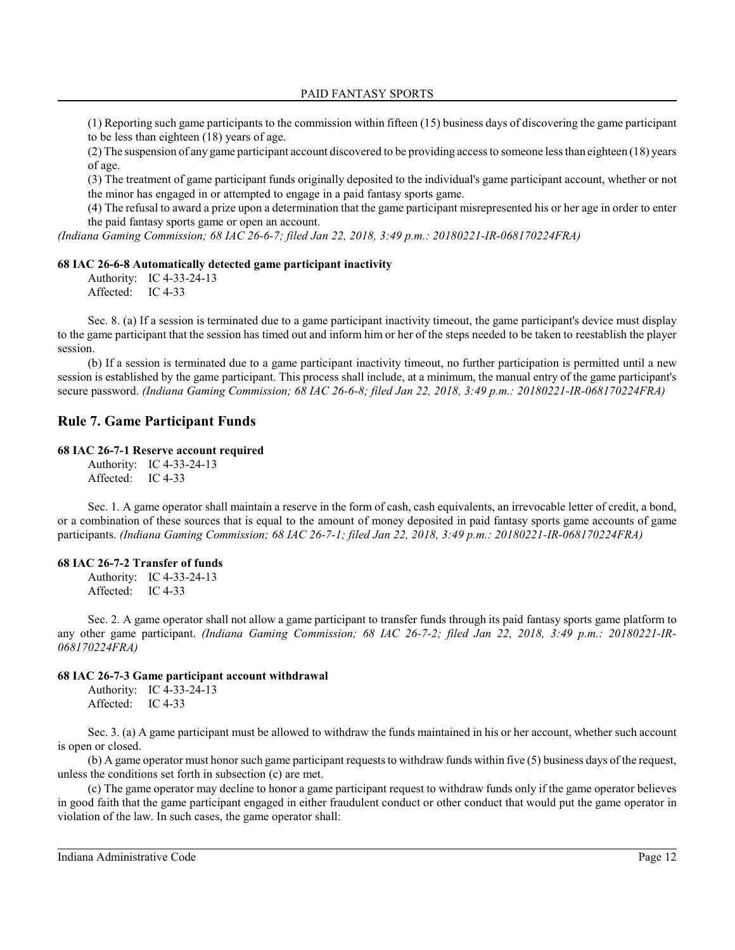PAID FANTASY SPORTS

(1) Reporting such game participants to the commission within fifteen (15) business days of discovering the game participant to be less than eighteen (18) years of age.

(2) The suspension of any game participant account discovered to be providing access to someone less than eighteen (18) years of age.

(3) The treatment of game participant funds originally deposited to the individual's game participant account, whether or not the minor has engaged in or attempted to engage in a paid fantasy sports game.

(4) The refusal to award a prize upon a determination that the game participant misrepresented his or her age in order to enter the paid fantasy sports game or open an account.

*(Indiana Gaming Commission; 68 IAC 26-6-7; filed Jan 22, 2018, 3:49 p.m.: 20180221-IR-068170224FRA)*

### **68 IAC 26-6-8 Automatically detected game participant inactivity**

Authority: IC 4-33-24-13 Affected: IC 4-33

Sec. 8. (a) If a session is terminated due to a game participant inactivity timeout, the game participant's device must display to the game participant that the session has timed out and inform him or her of the steps needed to be taken to reestablish the player session.

(b) If a session is terminated due to a game participant inactivity timeout, no further participation is permitted until a new session is established by the game participant. This process shall include, at a minimum, the manual entry of the game participant's secure password. *(Indiana Gaming Commission; 68 IAC 26-6-8; filed Jan 22, 2018, 3:49 p.m.: 20180221-IR-068170224FRA)*

### **Rule 7. Game Participant Funds**

#### **68 IAC 26-7-1 Reserve account required**

Authority: IC 4-33-24-13 Affected: IC 4-33

Sec. 1. A game operator shall maintain a reserve in the form of cash, cash equivalents, an irrevocable letter of credit, a bond, or a combination of these sources that is equal to the amount of money deposited in paid fantasy sports game accounts of game participants. *(Indiana Gaming Commission; 68 IAC 26-7-1; filed Jan 22, 2018, 3:49 p.m.: 20180221-IR-068170224FRA)*

#### **68 IAC 26-7-2 Transfer of funds**

Authority: IC 4-33-24-13 Affected: IC 4-33

Sec. 2. A game operator shall not allow a game participant to transfer funds through its paid fantasy sports game platform to any other game participant. *(Indiana Gaming Commission; 68 IAC 26-7-2; filed Jan 22, 2018, 3:49 p.m.: 20180221-IR-068170224FRA)*

### **68 IAC 26-7-3 Game participant account withdrawal**

Authority: IC 4-33-24-13 Affected: IC 4-33

Sec. 3. (a) A game participant must be allowed to withdraw the funds maintained in his or her account, whether such account is open or closed.

(b) A game operator must honor such game participant requests to withdraw funds within five  $(5)$  business days of the request, unless the conditions set forth in subsection (c) are met.

(c) The game operator may decline to honor a game participant request to withdraw funds only if the game operator believes in good faith that the game participant engaged in either fraudulent conduct or other conduct that would put the game operator in violation of the law. In such cases, the game operator shall: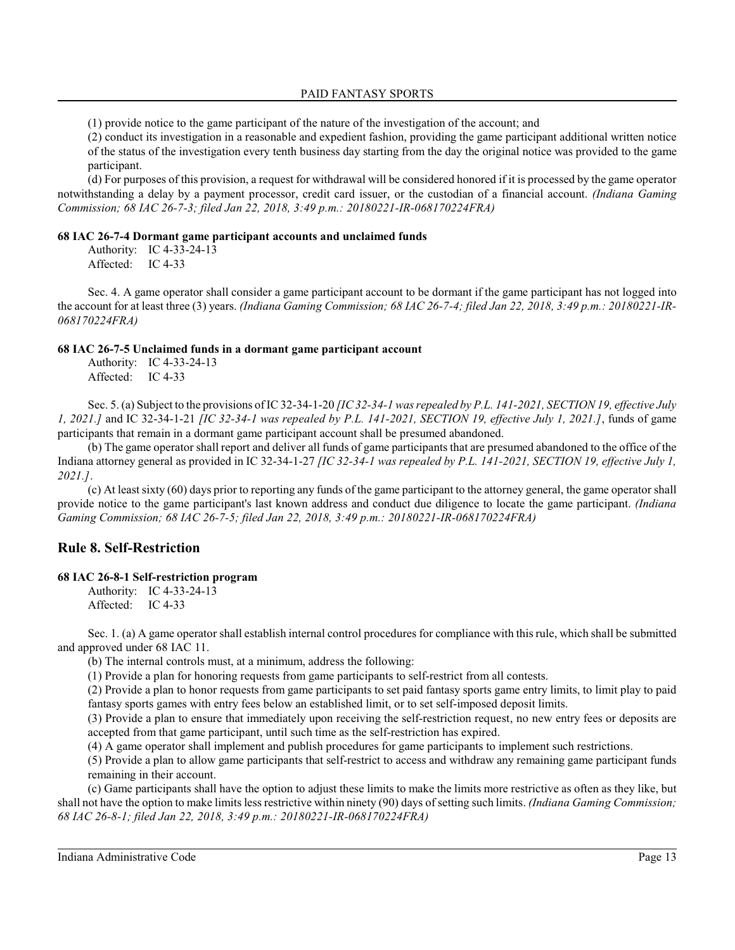PAID FANTASY SPORTS

(1) provide notice to the game participant of the nature of the investigation of the account; and

(2) conduct its investigation in a reasonable and expedient fashion, providing the game participant additional written notice of the status of the investigation every tenth business day starting from the day the original notice was provided to the game participant.

(d) For purposes of this provision, a request for withdrawal will be considered honored if it is processed by the game operator notwithstanding a delay by a payment processor, credit card issuer, or the custodian of a financial account. *(Indiana Gaming Commission; 68 IAC 26-7-3; filed Jan 22, 2018, 3:49 p.m.: 20180221-IR-068170224FRA)*

#### **68 IAC 26-7-4 Dormant game participant accounts and unclaimed funds**

Authority: IC 4-33-24-13 Affected: IC 4-33

Sec. 4. A game operator shall consider a game participant account to be dormant if the game participant has not logged into the account for at least three (3) years. *(Indiana Gaming Commission; 68 IAC 26-7-4; filed Jan 22, 2018, 3:49 p.m.: 20180221-IR-068170224FRA)*

### **68 IAC 26-7-5 Unclaimed funds in a dormant game participant account**

Authority: IC 4-33-24-13 Affected: IC 4-33

Sec. 5. (a) Subject to the provisions of IC 32-34-1-20 *[IC 32-34-1 was repealed by P.L. 141-2021, SECTION 19, effective July 1, 2021.]* and IC 32-34-1-21 *[IC 32-34-1 was repealed by P.L. 141-2021, SECTION 19, effective July 1, 2021.]*, funds of game participants that remain in a dormant game participant account shall be presumed abandoned.

(b) The game operator shall report and deliver all funds of game participants that are presumed abandoned to the office of the Indiana attorney general as provided in IC 32-34-1-27 *[IC 32-34-1 was repealed by P.L. 141-2021, SECTION 19, effective July 1, 2021.]*.

(c) At least sixty (60) days prior to reporting any funds of the game participant to the attorney general, the game operator shall provide notice to the game participant's last known address and conduct due diligence to locate the game participant. *(Indiana Gaming Commission; 68 IAC 26-7-5; filed Jan 22, 2018, 3:49 p.m.: 20180221-IR-068170224FRA)*

# **Rule 8. Self-Restriction**

### **68 IAC 26-8-1 Self-restriction program**

Authority: IC 4-33-24-13 Affected: IC 4-33

Sec. 1. (a) A game operator shall establish internal control procedures for compliance with thisrule, which shall be submitted and approved under 68 IAC 11.

(b) The internal controls must, at a minimum, address the following:

(1) Provide a plan for honoring requests from game participants to self-restrict from all contests.

(2) Provide a plan to honor requests from game participants to set paid fantasy sports game entry limits, to limit play to paid fantasy sports games with entry fees below an established limit, or to set self-imposed deposit limits.

(3) Provide a plan to ensure that immediately upon receiving the self-restriction request, no new entry fees or deposits are accepted from that game participant, until such time as the self-restriction has expired.

(4) A game operator shall implement and publish procedures for game participants to implement such restrictions.

(5) Provide a plan to allow game participants that self-restrict to access and withdraw any remaining game participant funds remaining in their account.

(c) Game participants shall have the option to adjust these limits to make the limits more restrictive as often as they like, but shall not have the option to make limits less restrictive within ninety (90) days of setting such limits. *(Indiana Gaming Commission; 68 IAC 26-8-1; filed Jan 22, 2018, 3:49 p.m.: 20180221-IR-068170224FRA)*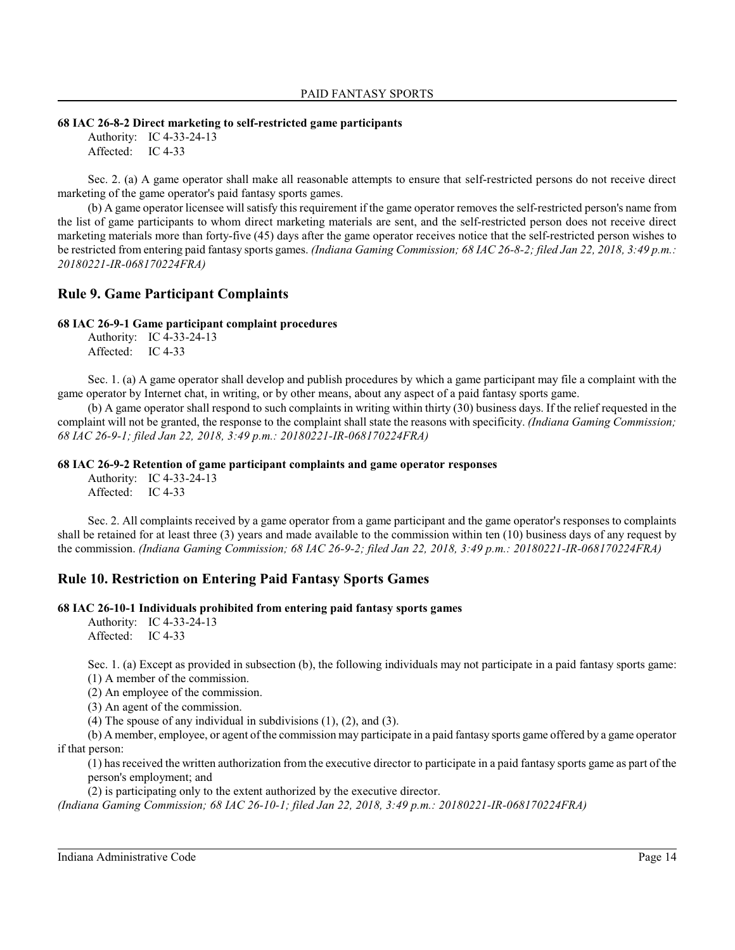### **68 IAC 26-8-2 Direct marketing to self-restricted game participants**

Authority: IC 4-33-24-13 Affected: IC 4-33

Sec. 2. (a) A game operator shall make all reasonable attempts to ensure that self-restricted persons do not receive direct marketing of the game operator's paid fantasy sports games.

(b) A game operator licensee will satisfy thisrequirement if the game operator removes the self-restricted person's name from the list of game participants to whom direct marketing materials are sent, and the self-restricted person does not receive direct marketing materials more than forty-five (45) days after the game operator receives notice that the self-restricted person wishes to be restricted from entering paid fantasy sports games. *(Indiana Gaming Commission; 68 IAC 26-8-2; filed Jan 22, 2018, 3:49 p.m.: 20180221-IR-068170224FRA)*

# **Rule 9. Game Participant Complaints**

# **68 IAC 26-9-1 Game participant complaint procedures**

Authority: IC 4-33-24-13 Affected: IC 4-33

Sec. 1. (a) A game operator shall develop and publish procedures by which a game participant may file a complaint with the game operator by Internet chat, in writing, or by other means, about any aspect of a paid fantasy sports game.

(b) A game operator shall respond to such complaints in writing within thirty (30) business days. If the relief requested in the complaint will not be granted, the response to the complaint shall state the reasons with specificity. *(Indiana Gaming Commission; 68 IAC 26-9-1; filed Jan 22, 2018, 3:49 p.m.: 20180221-IR-068170224FRA)*

### **68 IAC 26-9-2 Retention of game participant complaints and game operator responses**

Authority: IC 4-33-24-13 Affected: IC 4-33

Sec. 2. All complaints received by a game operator from a game participant and the game operator's responses to complaints shall be retained for at least three (3) years and made available to the commission within ten (10) business days of any request by the commission. *(Indiana Gaming Commission; 68 IAC 26-9-2; filed Jan 22, 2018, 3:49 p.m.: 20180221-IR-068170224FRA)*

# **Rule 10. Restriction on Entering Paid Fantasy Sports Games**

# **68 IAC 26-10-1 Individuals prohibited from entering paid fantasy sports games**

Authority: IC 4-33-24-13 Affected: IC 4-33

Sec. 1. (a) Except as provided in subsection (b), the following individuals may not participate in a paid fantasy sports game:

(1) A member of the commission.

(2) An employee of the commission.

(3) An agent of the commission.

(4) The spouse of any individual in subdivisions  $(1)$ ,  $(2)$ , and  $(3)$ .

(b) A member, employee, or agent of the commission may participate in a paid fantasy sports game offered by a game operator if that person:

(1) has received the written authorization from the executive director to participate in a paid fantasy sports game as part of the person's employment; and

(2) is participating only to the extent authorized by the executive director.

*(Indiana Gaming Commission; 68 IAC 26-10-1; filed Jan 22, 2018, 3:49 p.m.: 20180221-IR-068170224FRA)*